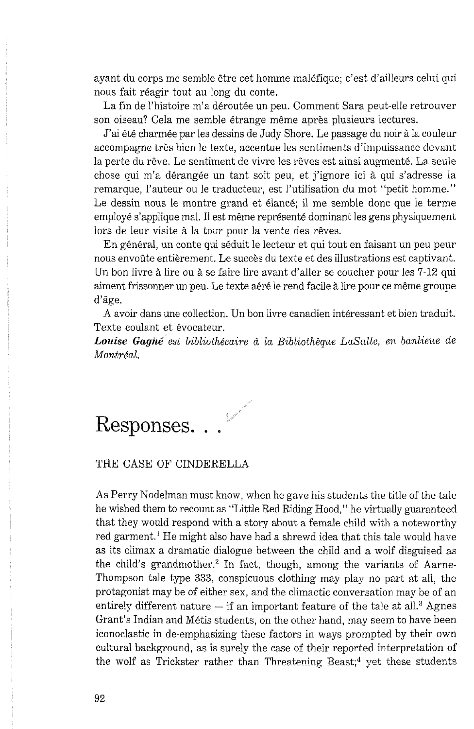ayant du corps me semble &tre cet homme malefique; c'est d'ailleurs celui qui nous fait r6agir tout au long du conte.

La fin de l'histoire m'a déroutée un peu. Comment Sara peut-elle retrouver son oiseau? Cela me semble étrange même après plusieurs lectures.

J'ai été charmée par les dessins de Judy Shore. Le passage du noir à la couleur accompagne très bien le texte, accentue les sentiments d'impuissance devant la perte du rêve. Le sentiment de vivre les rêves est ainsi augmenté. La seule chose qui m'a dérangée un tant soit peu, et j'ignore ici à qui s'adresse la remarque, l'auteur ou le traducteur, est I'utilisation du mot "petit homme." Le dessin nous le montre grand et élancé; il me semble donc que le terme employé s'applique mal. Il est même représenté dominant les gens physiquement lors de leur visite à la tour pour la vente des rêves.

En général, un conte qui séduit le lecteur et qui tout en faisant un peu peur nous envoûte entièrement. Le succès du texte et des illustrations est captivant. Un bon livre à lire ou à se faire lire avant d'aller se coucher pour les 7-12 qui aiment frissonner un peu. Le texte aéré le rend facile à lire pour ce même groupe d'âge.

A avoir dans une collection. Un bon livre canadien interessant et bien traduit. Texte coulant et évocateur.

Louise Gagné est bibliothécaire à la Bibliothèque LaSalle, en banlieue de Montréal.

## Responses. . .  $\mathbb{R}$

## THE CASE OF CINDERELLA

As Perry Nodelman must know, when he gave his students the title of the tale he wished them to recount as "Little Red Riding Hood," he virtually guaranteed that they would respond with a story about a female child with a noteworthy red garment.' He might also have had a shrewd idea that this tale would have as its climax a dramatic dialogue between the child and a wolf disguised as the child's grandmother. $2$  In fact, though, among the variants of Aarne-Thompson tale type **333,** conspicuous clothing may play no part at all, the protagonist may be of either sex, and the climactic conversation may be of an entirely different nature  $-$  if an important feature of the tale at all.<sup>3</sup> Agnes Grant's Indian and Metis students, on the other hand, may seem to have been iconoclastic in de-emphasizing these factors in ways prompted by their own cultural background, as is surely the case of their reported interpretation of the wolf as Trickster rather than Threatening Beast; $4$  yet these students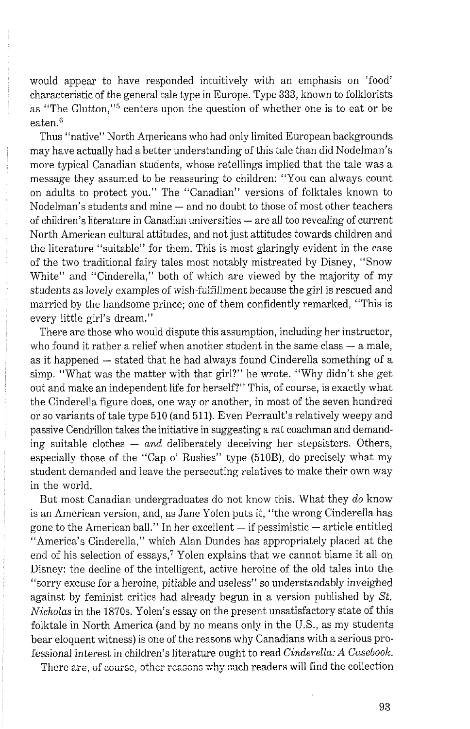would appear to have responded intuitively with an emphasis on 'food' characteristic of the general tale type in Europe. Type **333,** linown to folltlorists as "The Glutton."<sup>5</sup> centers upon the question of whether one is to eat or be eaten. $6$ 

Thus "native" North Americans who had only limited European backgrounds may have actually had a better understanding of this tale than did Nodelman's more typical Canadian students, whose retellings implied that the tale was a message they assumed to be reassuring to children: "You can always count on adults to protect you." The "Canadian" versions of folktales known to Nodelman's students and mine - and no doubt to those of most other teachers of children's literature in Canadian universities - are all too revealing of current North American cultural attitudes, and not just attitudes towards children and the literature "suitable" for them. This is most glaringly evident in the case of the two traditional fairy tales most notably mistreated by Disney, "Snow White" and "Cinderella," both of which are viewed by the majority of my students as lovely examples of wish-fulfillment because the girl is rescued and married by the handsome prince; one of them confidently remarked, "This is every little girl's dream."

There are those who would dispute this assumption, including her instructor, who found it rather a relief when another student in the same class — a male, who found it rather a relief when another student in the same class  $-$  a male, as it happened  $-$  stated that he had always found Cinderella something of a simp. "What was the matter with that girl?" he wrote. "Why didn't she get out and make an independent life for herself?" This, of course, is exactly what the Cinderella figure does, one way or another, in most of the seven hundred or so variants of tale type 510 (and 511). Even Perrault's relatively weepy and passive Cendrillon takes the initiative in suggesting a rat coachman and demanding suitable clothes  $-$  *and* deliberately deceiving her stepsisters. Others, especially those of the "Cap o' Rushes" type (510B), do precisely what my student demanded and leave the persecuting relatives to make their own way in the world.

But most Canadian undergraduates do not know this. What they *do* know is an American version, and, as Jane Yolen puts it, "the wrong Cinderella has gone to the American ball." In her excellent  $-$  if pessimistic  $-$  article entitled "America's Cinderella," which Alan Dundes has appropriately placed at the end of his selection of essays,<sup>7</sup> Yolen explains that we cannot blame it all on Disney: the decline of the intelligent, active heroine of the old tales into the "sorry excuse for a heroine, pitiable and useless" so understandably inveighed against by feminist critics had already begun in a version published by *St. Nicholas* in the 1870s. Yolen's essay on the present unsatisfactory state of this folktale in North America (and by no means only in the U.S., as my students bear eloquent witness) is one of the reasons why Canadians with a serious professional interest in children's literature ought to read Cinderella: A Casebook.<br>There are, of course, other reasons why such readers will find the collection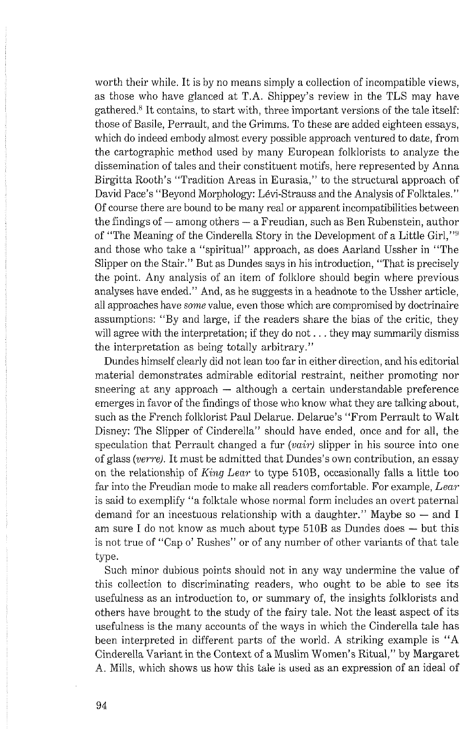worth their while. It is by no means simply a collection of incompatible views, as those who have glanced at T.A. Shippey's review in the TLS may have gathered.<sup>8</sup> It contains, to start with, three important versions of the tale itself: those of Basile, Perrault, and the Grimms. To these are added eighteen essays, which do indeed embody almost every possible approach ventured to date, from the cartographic method used by many European folltlorists to analyze the dissemination of tales and their constituent motifs, here represented by Anna Birgitta Rooth's "Tradition Areas in Eurasia," to the structural approach of David Pace's "Beyond Morphology: Lévi-Strauss and the Analysis of Folktales." Of course there are bound to be many real or apparent incompatibilities between the findings of  $-$  among others  $-$  a Freudian, such as Ben Rubenstein, author of "The Meaning of the Cinderella Story in the Development of a Little Girl,"' and those who take a "spiritual" approach, as does Aarland Ussher in "The Slipper on the Stair." But as Dundes says in his introduction, "That is precisely the point. Any analysis of an item of folklore should begin where previous analyses have ended." And, as he suggests in a headnote to the Ussher article, all approaches have *some* value, even those which are compromised by doctrinaire assumptions: "By and large, if the readers share the bias of the critic, they will agree with the interpretation; if they do not . . . they may summarily dismiss the interpretation as being totally arbitrary."

Dundes himself clearly did not lean too far in either direction, and his editorial material demonstrates admirable editorial restraint, neither promoting nor sneering at any approach  $-$  although a certain understandable preference emerges in favor of the findings of those who know what they are talking about. such as the French folklorist Paul Delarue. Delarue's "From Perrault to Walt Disney: The Slipper of Cinderella" should have ended, once and for all, the speculation that Perrault changed a fur *(vair)* slipper in his source into one of glass *(verre).* It must be admitted that Dundes's own contribution, an essay on the relationship of *King Lear* to type 510B, occasionally falls a little too far into the Freudian mode to make all readers comfortable. For example, *Lear*  is said to exemplify "a folktale whose normal form includes an overt paternal is said to exemplify "a folktale whose normal form includes an overt paternal demand for an incestuous relationship with a daughter." Maybe so  $-$  and I demand for an incestuous relationship with a daughter." Maybe so  $-$  and I am sure I do not know as much about type 510B as Dundes does  $-$  but this is not true of "Cap o' Rushes" or of any number of other variants of that tale type.

Such minor dubious points should not in any way undermine the value of this collection to discriminating readers, who ought to be able to see its usefulness as an introduction to, or summary of, the insights folklorists and others have brought to the study of the fairy tale. Not the least aspect of its usefulness is the many accounts of the ways in which the Cinderella tale has been interpreted in different parts of the world. A striking example is "A Cinderella Variant in the Context of a Muslim Women's Ritual," by Margaret A. Mills, which shows us how this tale is used as an expression of an ideal of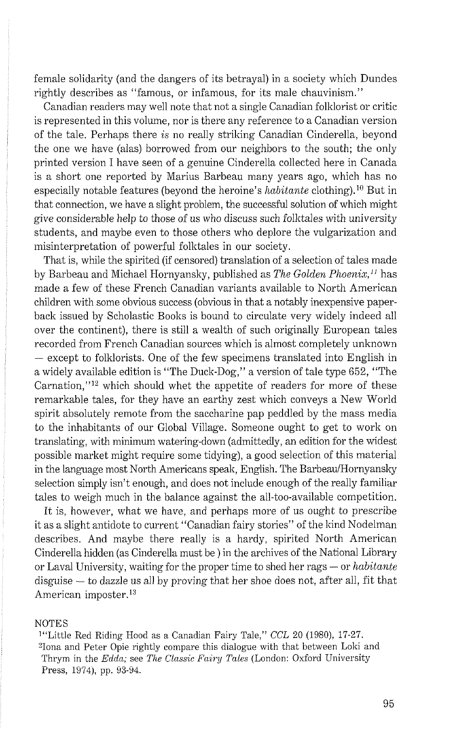female solidarity (and the dangers of its betrayal) in a society which Dundes rightly describes as "famous, or infamous, for its male chauvinism."

Canadian readers may well note that not a single Canadian folltlorist or critic is represented in this volume, nor is there any reference to a Canadian version of the tale. Perhaps there *is* no really striking Canadian Cinderella, beyond the one we have (alas) borrowed from our neighbors to the south; the only printed version I have seen of a genuine Cinderella collected here in Canada is a short one reported by Marius Barbeau many years ago, which has no especially notable features (beyond the heroine's *habitante* clothing).<sup>10</sup> But in that connection, we have a slight problem, the successful solution of which might give considerable help to those of us who discuss such folktales with university students, and maybe even to those others who deplore the vulgarization and misinterpretation of powerful folktales in our society.

That is, while the spirited (if censored) translation of a selection of tales made by Barbeau and Michael Hornyansky, published as *The Golden Phoenix*,<sup>11</sup> has made a few of these French Canadian variants available to North American children with some obvious success (obvious in that a notably inexpensive paperback issued by Scholastic Books is bound to circulate very widely indeed all over the continent), there is still a wealth of such originally European tales recorded from French Canadian sources which is almost completely unknown  $-$  except to folklorists. One of the few specimens translated into English in a widely available edition is "The Duck-Dog," a version of tale type 652, "The Carnation," $12$  which should whet the appetite of readers for more of these remarkable tales, for they have an earthy zest which conveys a New World spirit absolutely remote from the saccharine pap peddled by the mass media to the inhabitants of our Global Village. Someone ought to get to work on translating, with minimum watering-down (admittedly, an edition for the widest possible market might require some tidying), a good selection of this material in the language most North Americans speak, English. The Barbeau/Hornyansky selection simply isn't enough, and does not include enough of the really familiar tales to weigh much in the balance against the all-too-available competition.

It is, however, what we have, and perhaps more of us ought to prescribe it as a slight antidote to current "Canadian fairy stories" of the kind Nodelman describes. And maybe there really is a hardy, spirited North American Cinderella hidden (as Cinderella must be ) in the archives of the National Library Cinderella hidden (as Cinderella must be ) in the archives of the National Library<br>or Laval University, waiting for the proper time to shed her rags — or *habitante* or Laval University, waiting for the proper time to shed her rags — or *habitante* disguise — to dazzle us all by proving that her shoe does not, after all, fit that American imposter.<sup>13</sup>

## **NOTES**

'"Little Red Riding Hood as a Canadian Fairy Tale," *CCL* 20 (1980), *17-27.*  <sup>2</sup>Iona and Peter Opie rightly compare this dialogue with that between Loki and Thrym in the *Edda*; see *The Classic Fairy Tales* (London: Oxford University Press, 1974), pp. 93-94.